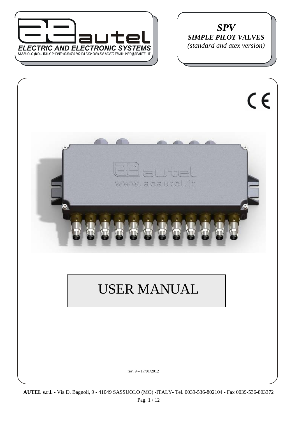

*SPV SIMPLE PILOT VALVES (standard and atex version)* 





# USER MANUAL

rev. 9 – 17/01/2012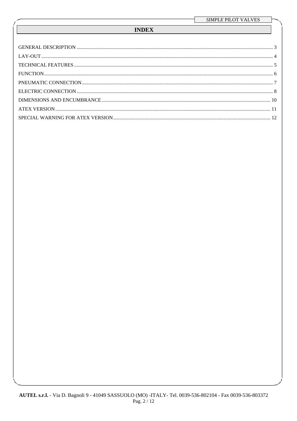## **INDEX**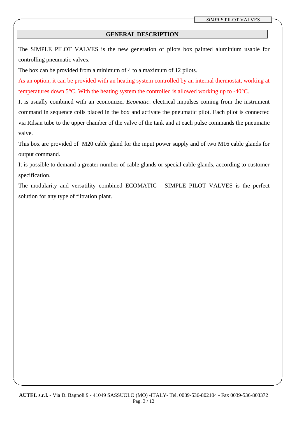## **GENERAL DESCRIPTION**

The SIMPLE PILOT VALVES is the new generation of pilots box painted aluminium usable for controlling pneumatic valves.

The box can be provided from a minimum of 4 to a maximum of 12 pilots.

As an option, it can be provided with an heating system controlled by an internal thermostat, working at temperatures down 5°C. With the heating system the controlled is allowed working up to -40°C.

It is usually combined with an economizer *Ecomatic*: electrical impulses coming from the instrument command in sequence coils placed in the box and activate the pneumatic pilot. Each pilot is connected via Rilsan tube to the upper chamber of the valve of the tank and at each pulse commands the pneumatic valve.

This box are provided of M20 cable gland for the input power supply and of two M16 cable glands for output command.

It is possible to demand a greater number of cable glands or special cable glands, according to customer specification.

The modularity and versatility combined ECOMATIC - SIMPLE PILOT VALVES is the perfect solution for any type of filtration plant.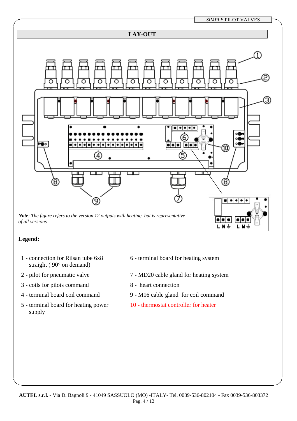*SIMPLE* PILOT VALVES

LN+

L N

## **LAY-OUT**



## **Legend:**

- 1 connection for Rilsan tube 6x8 straight ( 90° on demand)
- 
- 3 coils for pilots command 8 heart connection
- 
- 5 terminal board for heating power supply
- 6 terminal board for heating system
- 2 pilot for pneumatic valve 7 MD20 cable gland for heating system
	-
- 4 terminal board coil command 9 M16 cable gland for coil command
	- 10 thermostat controller for heater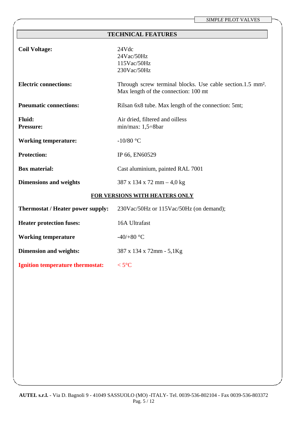**TECHNICAL FEATURES** 

| <b>Coil Voltage:</b>                     | 24Vdc<br>24Vac/50Hz<br>115Vac/50Hz<br>230Vac/50Hz                                                              |  |
|------------------------------------------|----------------------------------------------------------------------------------------------------------------|--|
| <b>Electric connections:</b>             | Through screw terminal blocks. Use cable section.1.5 mm <sup>2</sup> .<br>Max length of the connection: 100 mt |  |
| <b>Pneumatic connections:</b>            | Rilsan 6x8 tube. Max length of the connection: 5mt;                                                            |  |
| <b>Fluid:</b><br>Pressure:               | Air dried, filtered and oilless<br>min/max: $1,5 \div 8$ bar                                                   |  |
| <b>Working temperature:</b>              | $-10/80$ °C                                                                                                    |  |
| <b>Protection:</b>                       | IP 66, EN60529                                                                                                 |  |
| <b>Box material:</b>                     | Cast aluminium, painted RAL 7001                                                                               |  |
| <b>Dimensions and weights</b>            | 387 x 134 x 72 mm $-$ 4,0 kg                                                                                   |  |
| FOR VERSIONS WITH HEATERS ONLY           |                                                                                                                |  |
| <b>Thermostat / Heater power supply:</b> | 230Vac/50Hz or 115Vac/50Hz (on demand);                                                                        |  |
| <b>Heater protection fuses:</b>          | 16A Ultrafast                                                                                                  |  |
| <b>Working temperature</b>               | -40/+80 $\degree$ C                                                                                            |  |
| <b>Dimension and weights:</b>            | 387 x 134 x 72mm - 5,1Kg                                                                                       |  |
| Ignition temperature thermostat: <5°C    |                                                                                                                |  |
|                                          |                                                                                                                |  |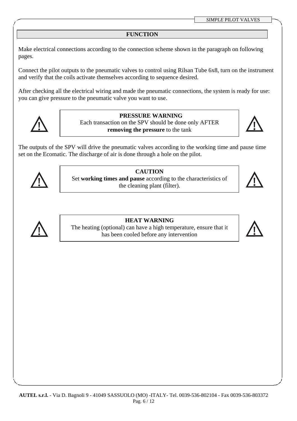## **FUNCTION**

Make electrical connections according to the connection scheme shown in the paragraph on following pages.

Connect the pilot outputs to the pneumatic valves to control using Rilsan Tube 6x8, turn on the instrument and verify that the coils activate themselves according to sequence desired.

After checking all the electrical wiring and made the pneumatic connections, the system is ready for use: you can give pressure to the pneumatic valve you want to use.



**PRESSURE WARNING**  Each transaction on the SPV should be done only AFTER **removing the pressure** to the tank



The outputs of the SPV will drive the pneumatic valves according to the working time and pause time set on the Ecomatic. The discharge of air is done through a hole on the pilot.



## **CAUTION**

Set **working times and pause** according to the characteristics of the cleaning plant (filter).





## **HEAT WARNING**

The heating (optional) can have a high temperature, ensure that it has been cooled before any intervention

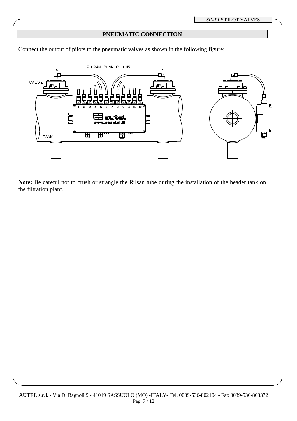## **PNEUMATIC CONNECTION**

Connect the output of pilots to the pneumatic valves as shown in the following figure:



**Note:** Be careful not to crush or strangle the Rilsan tube during the installation of the header tank on the filtration plant.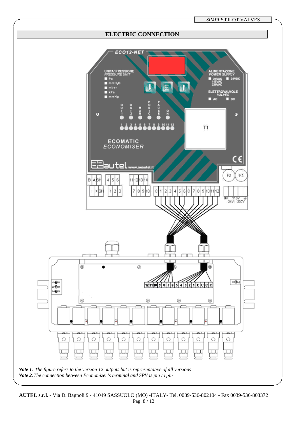

**AUTEL s.r.l.** - Via D. Bagnoli 9 - 41049 SASSUOLO (MO) -ITALY- Tel. 0039-536-802104 - Fax 0039-536-803372 Pag. 8 / 12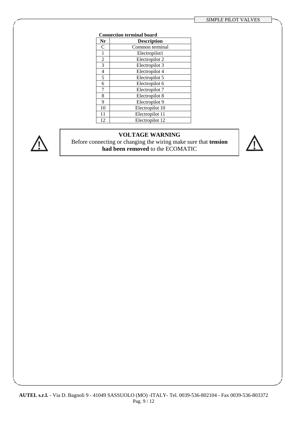#### **Connection terminal board**

| Nr             | <b>Description</b> |
|----------------|--------------------|
| C              | Common terminal    |
|                | Electropilot1      |
| $\overline{2}$ | Electropilot 2     |
| 3              | Electropilot 3     |
| 4              | Electropilot 4     |
| 5              | Electropilot 5     |
| 6              | Electropilot 6     |
| 7              | Electropilot 7     |
| 8              | Electropilot 8     |
| 9              | Electropilot 9     |
| 10             | Electropilot 10    |
| 11             | Electropilot 11    |
| 12             | Electropilot 12    |



## **VOLTAGE WARNING**

Before connecting or changing the wiring make sure that **tension had been removed** to the ECOMATIC

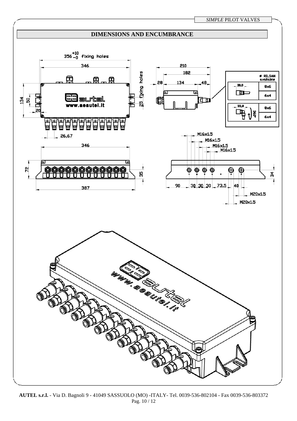

**AUTEL s.r.l.** - Via D. Bagnoli 9 - 41049 SASSUOLO (MO) -ITALY- Tel. 0039-536-802104 - Fax 0039-536-803372 Pag. 10 / 12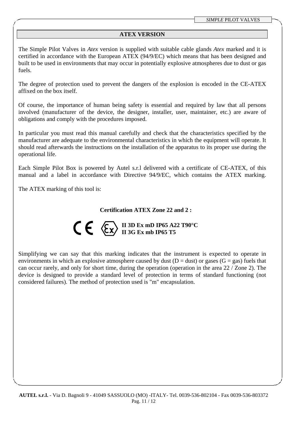## **ATEX VERSION**

The Simple Pilot Valves in *Atex* version is supplied with suitable cable glands *Atex* marked and it is certified in accordance with the European ATEX (94/9/EC) which means that has been designed and built to be used in environments that may occur in potentially explosive atmospheres due to dust or gas fuels.

The degree of protection used to prevent the dangers of the explosion is encoded in the CE-ATEX affixed on the box itself.

Of course, the importance of human being safety is essential and required by law that all persons involved (manufacturer of the device, the designer, installer, user, maintainer, etc.) are aware of obligations and comply with the procedures imposed.

In particular you must read this manual carefully and check that the characteristics specified by the manufacturer are adequate to the environmental characteristics in which the equipment will operate. It should read afterwards the instructions on the installation of the apparatus to its proper use during the operational life.

Each Simple Pilot Box is powered by Autel s.r.l delivered with a certificate of CE-ATEX, of this manual and a label in accordance with Directive 94/9/EC, which contains the ATEX marking.

The ATEX marking of this tool is:

## **Certification ATEX Zone 22 and 2 :**

$$
\mathbf{C} \in \mathbb{C}^{\sum_{\mathrm{II} \text{ } 3\mathrm{G} \text{ } \mathrm{Ex} \text{ } \mathrm{mD} \text{ } \mathrm{IP} 65 \text{ } \mathrm{A} 22 \text{ } \mathrm{T} 90^{\circ}\mathrm{C}}
$$

Simplifying we can say that this marking indicates that the instrument is expected to operate in environments in which an explosive atmosphere caused by dust ( $D = dust$ ) or gases ( $G = gas$ ) fuels that can occur rarely, and only for short time, during the operation (operation in the area 22 / Zone 2). The device is designed to provide a standard level of protection in terms of standard functioning (not considered failures). The method of protection used is "m" encapsulation.